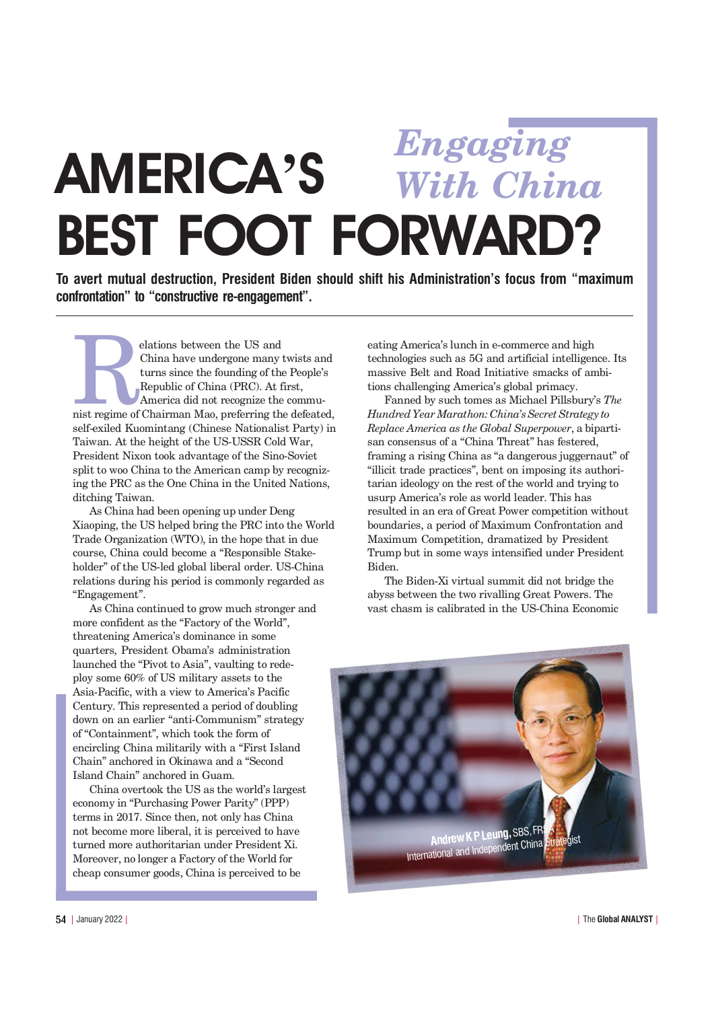## **AMERICA'S** BEST FOOT FORWARD? *Engaging With China*

To avert mutual destruction. President Biden should shift his Administration's focus from "maximum" confrontation" to "constructive re-engagement".

elations between the US and<br>China have undergone many twists and<br>turns since the founding of the People's<br>Republic of China (PRC). At first,<br>America did not recognize the communist<br>regime of Chairman Mao, preferring the de China have undergone many twists and turns since the founding of the People's Republic of China (PRC). At first, America did not recognize the commuself-exiled Kuomintang (Chinese Nationalist Party) in Taiwan. At the height of the US-USSR Cold War, President Nixon took advantage of the Sino-Soviet split to woo China to the American camp by recognizing the PRC as the One China in the United Nations, ditching Taiwan.

As China had been opening up under Deng Xiaoping, the US helped bring the PRC into the World Trade Organization (WTO), in the hope that in due course, China could become a "Responsible Stakeholder" of the US-led global liberal order. US-China relations during his period is commonly regarded as "Engagement".

As China continued to grow much stronger and more confident as the "Factory of the World", threatening America's dominance in some quarters, President Obama's administration launched the "Pivot to Asia", vaulting to redeploy some 60% of US military assets to the Asia-Pacific, with a view to America's Pacific Century. This represented a period of doubling down on an earlier "anti-Communism" strategy of "Containment", which took the form of encircling China militarily with a "First Island Chain" anchored in Okinawa and a "Second Island Chain" anchored in Guam.

China overtook the US as the world's largest economy in "Purchasing Power Parity" (PPP) terms in 2017. Since then, not only has China not become more liberal, it is perceived to have turned more authoritarian under President Xi. Moreover, no longer a Factory of the World for cheap consumer goods, China is perceived to be

eating America's lunch in e-commerce and high technologies such as 5G and artificial intelligence. Its massive Belt and Road Initiative smacks of ambitions challenging America's global primacy.

Fanned by such tomes as Michael Pillsburys *The Hundred Year Marathon: China's Secret Strategy to Replace America as the Global Superpower*, a bipartisan consensus of a "China Threat" has festered, framing a rising China as "a dangerous juggernaut" of "illicit trade practices", bent on imposing its authoritarian ideology on the rest of the world and trying to usurp America's role as world leader. This has resulted in an era of Great Power competition without boundaries, a period of Maximum Confrontation and Maximum Competition, dramatized by President Trump but in some ways intensified under President Biden.

The Biden-Xi virtual summit did not bridge the abyss between the two rivalling Great Powers. The vast chasm is calibrated in the US-China Economic

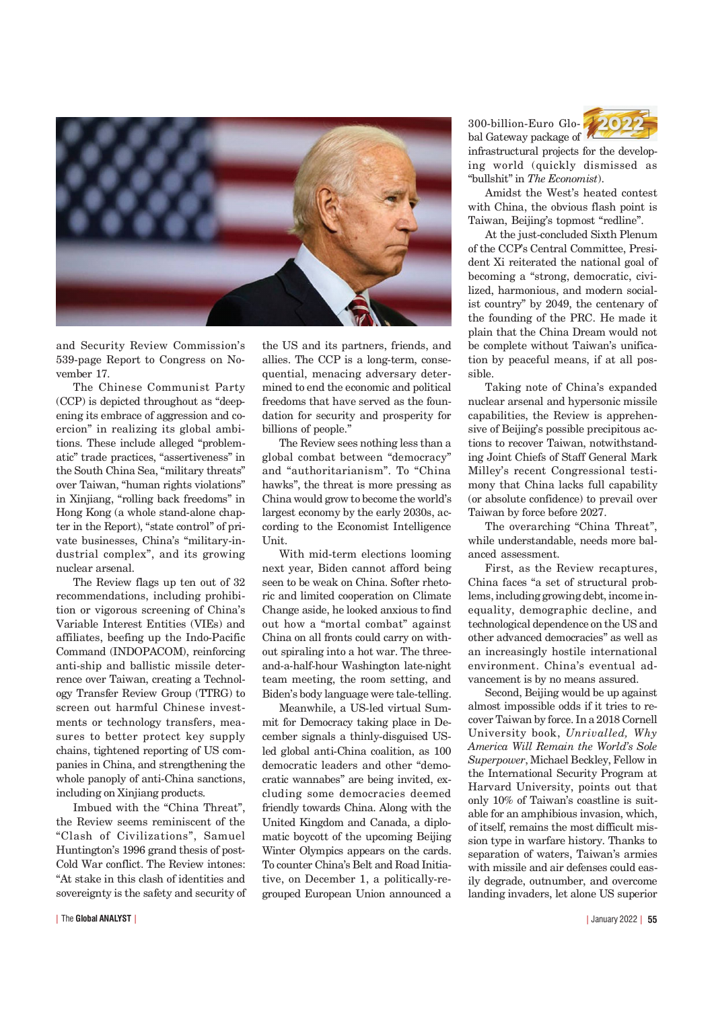

and Security Review Commission's 539-page Report to Congress on November 17.

The Chinese Communist Party  $(CCP)$  is depicted throughout as "deepening its embrace of aggression and coercion" in realizing its global ambitions. These include alleged "problematic" trade practices, "assertiveness" in the South China Sea, "military threats" over Taiwan, "human rights violations" in Xinjiang, "rolling back freedoms" in Hong Kong (a whole stand-alone chapter in the Report), "state control" of private businesses, China's "military-industrial complex", and its growing nuclear arsenal.

The Review flags up ten out of 32 recommendations, including prohibition or vigorous screening of China's Variable Interest Entities (VIEs) and affiliates, beefing up the Indo-Pacific Command (INDOPACOM), reinforcing anti-ship and ballistic missile deterrence over Taiwan, creating a Technology Transfer Review Group (TTRG) to screen out harmful Chinese investments or technology transfers, measures to better protect key supply chains, tightened reporting of US companies in China, and strengthening the whole panoply of anti-China sanctions, including on Xinjiang products.

Imbued with the "China Threat". the Review seems reminiscent of the "Clash of Civilizations", Samuel Huntington's 1996 grand thesis of post-Cold War conflict. The Review intones: At stake in this clash of identities and sovereignty is the safety and security of

| January 2022 | 55

the US and its partners, friends, and allies. The CCP is a long-term, consequential, menacing adversary determined to end the economic and political freedoms that have served as the foundation for security and prosperity for billions of people."

The Review sees nothing less than a global combat between "democracy" and "authoritarianism". To "China hawks", the threat is more pressing as China would grow to become the world's largest economy by the early 2030s, according to the Economist Intelligence Unit.

With mid-term elections looming next year, Biden cannot afford being seen to be weak on China. Softer rhetoric and limited cooperation on Climate Change aside, he looked anxious to find out how a "mortal combat" against China on all fronts could carry on without spiraling into a hot war. The threeand-a-half-hour Washington late-night team meeting, the room setting, and Biden's body language were tale-telling.

Meanwhile, a US-led virtual Summit for Democracy taking place in December signals a thinly-disguised USled global anti-China coalition, as 100 democratic leaders and other "democratic wannabes" are being invited, excluding some democracies deemed friendly towards China. Along with the United Kingdom and Canada, a diplomatic boycott of the upcoming Beijing Winter Olympics appears on the cards. To counter China's Belt and Road Initiative, on December 1, a politically-regrouped European Union announced a

300-billion-Euro Global Gateway package of



infrastructural projects for the developing world (quickly dismissed as "bullshit" in *The Economist*).

Amidst the West's heated contest with China, the obvious flash point is Taiwan, Beijing's topmost "redline".

At the just-concluded Sixth Plenum of the CCPs Central Committee, President Xi reiterated the national goal of becoming a "strong, democratic, civilized, harmonious, and modern socialist country" by 2049, the centenary of the founding of the PRC. He made it plain that the China Dream would not be complete without Taiwan's unification by peaceful means, if at all possible.

Taking note of China's expanded nuclear arsenal and hypersonic missile capabilities, the Review is apprehensive of Beijing's possible precipitous actions to recover Taiwan, notwithstanding Joint Chiefs of Staff General Mark Milleys recent Congressional testimony that China lacks full capability (or absolute confidence) to prevail over Taiwan by force before 2027.

The overarching "China Threat", while understandable, needs more balanced assessment.

First, as the Review recaptures, China faces "a set of structural problems, including growing debt, income inequality, demographic decline, and technological dependence on the US and other advanced democracies" as well as an increasingly hostile international environment. China's eventual advancement is by no means assured.

Second, Beijing would be up against almost impossible odds if it tries to recover Taiwan by force. In a 2018 Cornell University book, *Unrivalled, Why America Will Remain the Worlds Sole Superpower*, Michael Beckley, Fellow in the International Security Program at Harvard University, points out that only 10% of Taiwan's coastline is suitable for an amphibious invasion, which, of itself, remains the most difficult mission type in warfare history. Thanks to separation of waters, Taiwan's armies with missile and air defenses could easily degrade, outnumber, and overcome landing invaders, let alone US superior